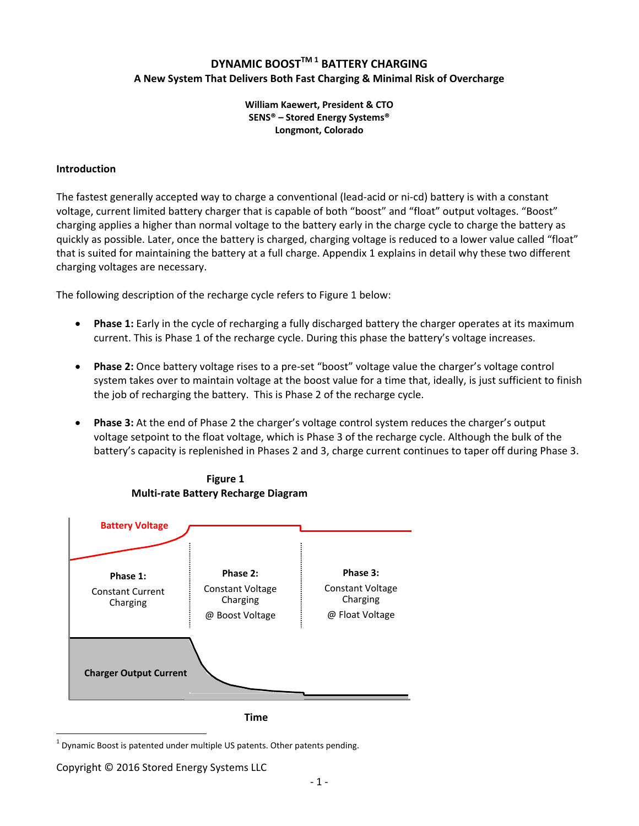# **DYNAMIC BOOSTTM <sup>1</sup> BATTERY CHARGING A New System That Delivers Both Fast Charging & Minimal Risk of Overcharge**

#### **William Kaewert, President & CTO SENS® – Stored Energy Systems® Longmont, Colorado**

### **Introduction**

The fastest generally accepted way to charge a conventional (lead‐acid or ni‐cd) battery is with a constant voltage, current limited battery charger that is capable of both "boost" and "float" output voltages. "Boost" charging applies a higher than normal voltage to the battery early in the charge cycle to charge the battery as quickly as possible. Later, once the battery is charged, charging voltage is reduced to a lower value called "float" that is suited for maintaining the battery at a full charge. Appendix 1 explains in detail why these two different charging voltages are necessary.

The following description of the recharge cycle refers to Figure 1 below:

- **Phase 1:** Early in the cycle of recharging a fully discharged battery the charger operates at its maximum current. This is Phase 1 of the recharge cycle. During this phase the battery's voltage increases.
- **Phase 2:** Once battery voltage rises to a pre‐set "boost" voltage value the charger's voltage control system takes over to maintain voltage at the boost value for a time that, ideally, is just sufficient to finish the job of recharging the battery. This is Phase 2 of the recharge cycle.
- **Phase 3:** At the end of Phase 2 the charger's voltage control system reduces the charger's output voltage setpoint to the float voltage, which is Phase 3 of the recharge cycle. Although the bulk of the battery's capacity is replenished in Phases 2 and 3, charge current continues to taper off during Phase 3.



 **Figure 1 Multi‐rate Battery Recharge Diagram**

**Time**

 $\overline{a}$  $1$  Dynamic Boost is patented under multiple US patents. Other patents pending.

Copyright © 2016 Stored Energy Systems LLC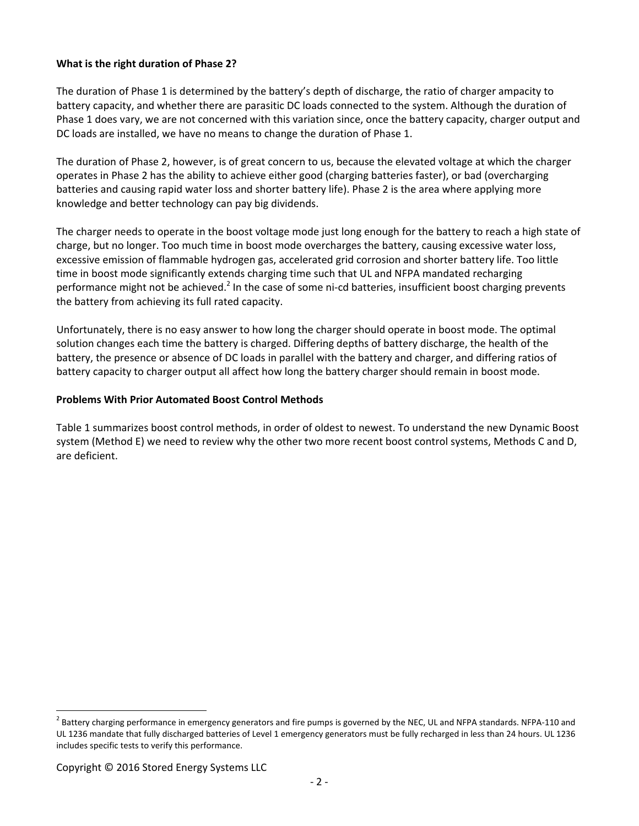# **What is the right duration of Phase 2?**

The duration of Phase 1 is determined by the battery's depth of discharge, the ratio of charger ampacity to battery capacity, and whether there are parasitic DC loads connected to the system. Although the duration of Phase 1 does vary, we are not concerned with this variation since, once the battery capacity, charger output and DC loads are installed, we have no means to change the duration of Phase 1.

The duration of Phase 2, however, is of great concern to us, because the elevated voltage at which the charger operates in Phase 2 has the ability to achieve either good (charging batteries faster), or bad (overcharging batteries and causing rapid water loss and shorter battery life). Phase 2 is the area where applying more knowledge and better technology can pay big dividends.

The charger needs to operate in the boost voltage mode just long enough for the battery to reach a high state of charge, but no longer. Too much time in boost mode overcharges the battery, causing excessive water loss, excessive emission of flammable hydrogen gas, accelerated grid corrosion and shorter battery life. Too little time in boost mode significantly extends charging time such that UL and NFPA mandated recharging performance might not be achieved.<sup>2</sup> In the case of some ni-cd batteries, insufficient boost charging prevents the battery from achieving its full rated capacity.

Unfortunately, there is no easy answer to how long the charger should operate in boost mode. The optimal solution changes each time the battery is charged. Differing depths of battery discharge, the health of the battery, the presence or absence of DC loads in parallel with the battery and charger, and differing ratios of battery capacity to charger output all affect how long the battery charger should remain in boost mode.

#### **Problems With Prior Automated Boost Control Methods**

Table 1 summarizes boost control methods, in order of oldest to newest. To understand the new Dynamic Boost system (Method E) we need to review why the other two more recent boost control systems, Methods C and D, are deficient.

 $\overline{a}$ 

 $<sup>2</sup>$  Battery charging performance in emergency generators and fire pumps is governed by the NEC, UL and NFPA standards. NFPA-110 and</sup> UL 1236 mandate that fully discharged batteries of Level 1 emergency generators must be fully recharged in less than 24 hours. UL 1236 includes specific tests to verify this performance.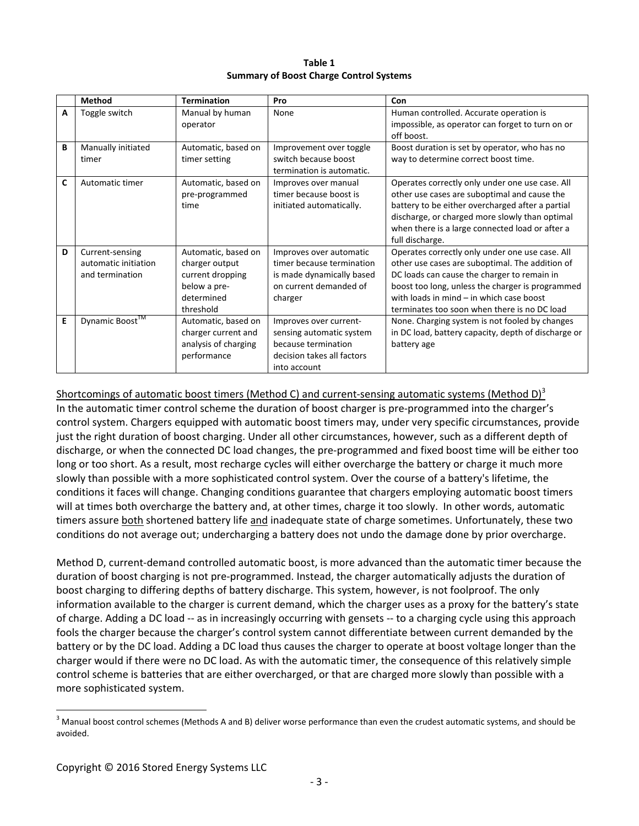| Table 1                                 |
|-----------------------------------------|
| Summary of Boost Charge Control Systems |

|   | <b>Method</b>        | <b>Termination</b>   | Pro                        | Con                                                 |
|---|----------------------|----------------------|----------------------------|-----------------------------------------------------|
| А | Toggle switch        | Manual by human      | None                       | Human controlled. Accurate operation is             |
|   |                      | operator             |                            | impossible, as operator can forget to turn on or    |
|   |                      |                      |                            | off boost.                                          |
| B | Manually initiated   | Automatic, based on  | Improvement over toggle    | Boost duration is set by operator, who has no       |
|   | timer                | timer setting        | switch because boost       | way to determine correct boost time.                |
|   |                      |                      | termination is automatic.  |                                                     |
| C | Automatic timer      | Automatic, based on  | Improves over manual       | Operates correctly only under one use case. All     |
|   |                      | pre-programmed       | timer because boost is     | other use cases are suboptimal and cause the        |
|   |                      | time                 | initiated automatically.   | battery to be either overcharged after a partial    |
|   |                      |                      |                            | discharge, or charged more slowly than optimal      |
|   |                      |                      |                            | when there is a large connected load or after a     |
|   |                      |                      |                            | full discharge.                                     |
| D | Current-sensing      | Automatic, based on  | Improves over automatic    | Operates correctly only under one use case. All     |
|   | automatic initiation | charger output       | timer because termination  | other use cases are suboptimal. The addition of     |
|   | and termination      | current dropping     | is made dynamically based  | DC loads can cause the charger to remain in         |
|   |                      | below a pre-         | on current demanded of     | boost too long, unless the charger is programmed    |
|   |                      | determined           | charger                    | with loads in $mind - in$ which case boost          |
|   |                      | threshold            |                            | terminates too soon when there is no DC load        |
| E | Dynamic Boost™       | Automatic, based on  | Improves over current-     | None. Charging system is not fooled by changes      |
|   |                      | charger current and  | sensing automatic system   | in DC load, battery capacity, depth of discharge or |
|   |                      | analysis of charging | because termination        | battery age                                         |
|   |                      | performance          | decision takes all factors |                                                     |
|   |                      |                      | into account               |                                                     |

Shortcomings of automatic boost timers (Method C) and current-sensing automatic systems (Method D)<sup>3</sup> In the automatic timer control scheme the duration of boost charger is pre-programmed into the charger's control system. Chargers equipped with automatic boost timers may, under very specific circumstances, provide just the right duration of boost charging. Under all other circumstances, however, such as a different depth of discharge, or when the connected DC load changes, the pre‐programmed and fixed boost time will be either too long or too short. As a result, most recharge cycles will either overcharge the battery or charge it much more slowly than possible with a more sophisticated control system. Over the course of a battery's lifetime, the conditions it faces will change. Changing conditions guarantee that chargers employing automatic boost timers will at times both overcharge the battery and, at other times, charge it too slowly. In other words, automatic timers assure both shortened battery life and inadequate state of charge sometimes. Unfortunately, these two conditions do not average out; undercharging a battery does not undo the damage done by prior overcharge.

Method D, current-demand controlled automatic boost, is more advanced than the automatic timer because the duration of boost charging is not pre‐programmed. Instead, the charger automatically adjusts the duration of boost charging to differing depths of battery discharge. This system, however, is not foolproof. The only information available to the charger is current demand, which the charger uses as a proxy for the battery's state of charge. Adding a DC load ‐‐ as in increasingly occurring with gensets ‐‐ to a charging cycle using this approach fools the charger because the charger's control system cannot differentiate between current demanded by the battery or by the DC load. Adding a DC load thus causes the charger to operate at boost voltage longer than the charger would if there were no DC load. As with the automatic timer, the consequence of this relatively simple control scheme is batteries that are either overcharged, or that are charged more slowly than possible with a more sophisticated system.

 $\overline{a}$ 

<sup>&</sup>lt;sup>3</sup> Manual boost control schemes (Methods A and B) deliver worse performance than even the crudest automatic systems, and should be avoided.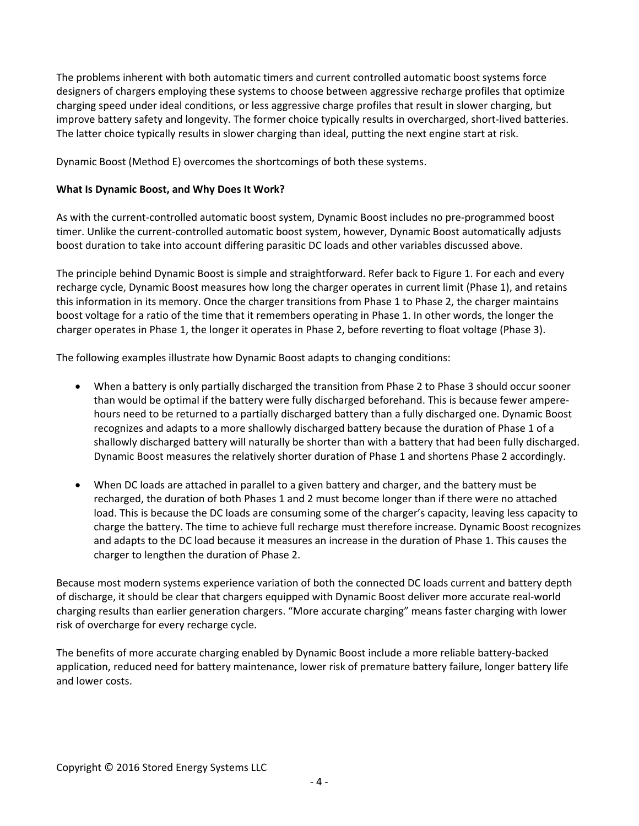The problems inherent with both automatic timers and current controlled automatic boost systems force designers of chargers employing these systems to choose between aggressive recharge profiles that optimize charging speed under ideal conditions, or less aggressive charge profiles that result in slower charging, but improve battery safety and longevity. The former choice typically results in overcharged, short-lived batteries. The latter choice typically results in slower charging than ideal, putting the next engine start at risk.

Dynamic Boost (Method E) overcomes the shortcomings of both these systems.

### **What Is Dynamic Boost, and Why Does It Work?**

As with the current‐controlled automatic boost system, Dynamic Boost includes no pre‐programmed boost timer. Unlike the current‐controlled automatic boost system, however, Dynamic Boost automatically adjusts boost duration to take into account differing parasitic DC loads and other variables discussed above.

The principle behind Dynamic Boost is simple and straightforward. Refer back to Figure 1. For each and every recharge cycle, Dynamic Boost measures how long the charger operates in current limit (Phase 1), and retains this information in its memory. Once the charger transitions from Phase 1 to Phase 2, the charger maintains boost voltage for a ratio of the time that it remembers operating in Phase 1. In other words, the longer the charger operates in Phase 1, the longer it operates in Phase 2, before reverting to float voltage (Phase 3).

The following examples illustrate how Dynamic Boost adapts to changing conditions:

- When a battery is only partially discharged the transition from Phase 2 to Phase 3 should occur sooner than would be optimal if the battery were fully discharged beforehand. This is because fewer ampere‐ hours need to be returned to a partially discharged battery than a fully discharged one. Dynamic Boost recognizes and adapts to a more shallowly discharged battery because the duration of Phase 1 of a shallowly discharged battery will naturally be shorter than with a battery that had been fully discharged. Dynamic Boost measures the relatively shorter duration of Phase 1 and shortens Phase 2 accordingly.
- When DC loads are attached in parallel to a given battery and charger, and the battery must be recharged, the duration of both Phases 1 and 2 must become longer than if there were no attached load. This is because the DC loads are consuming some of the charger's capacity, leaving less capacity to charge the battery. The time to achieve full recharge must therefore increase. Dynamic Boost recognizes and adapts to the DC load because it measures an increase in the duration of Phase 1. This causes the charger to lengthen the duration of Phase 2.

Because most modern systems experience variation of both the connected DC loads current and battery depth of discharge, it should be clear that chargers equipped with Dynamic Boost deliver more accurate real‐world charging results than earlier generation chargers. "More accurate charging" means faster charging with lower risk of overcharge for every recharge cycle.

The benefits of more accurate charging enabled by Dynamic Boost include a more reliable battery‐backed application, reduced need for battery maintenance, lower risk of premature battery failure, longer battery life and lower costs.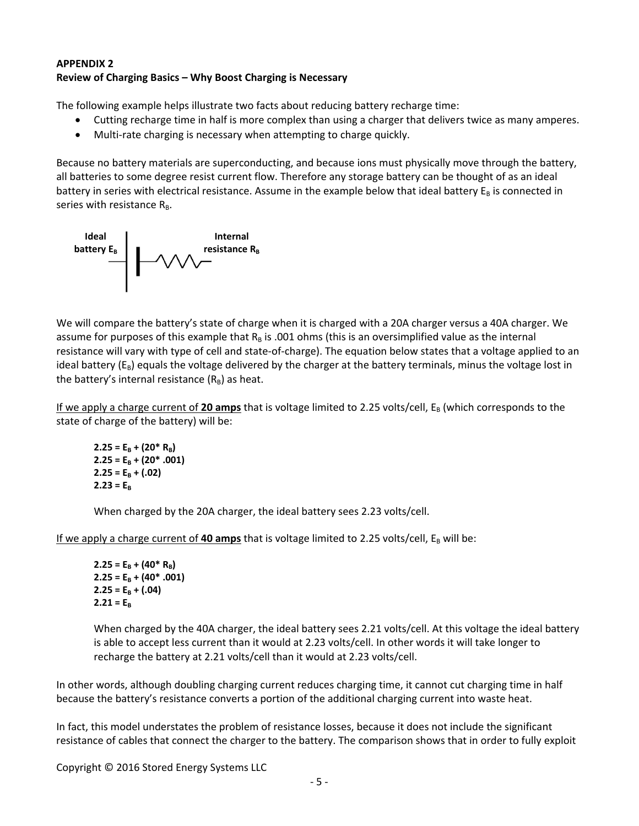# **APPENDIX 2 Review of Charging Basics – Why Boost Charging is Necessary**

The following example helps illustrate two facts about reducing battery recharge time:

- Cutting recharge time in half is more complex than using a charger that delivers twice as many amperes.
- Multi-rate charging is necessary when attempting to charge quickly.

Because no battery materials are superconducting, and because ions must physically move through the battery, all batteries to some degree resist current flow. Therefore any storage battery can be thought of as an ideal battery in series with electrical resistance. Assume in the example below that ideal battery  $E_B$  is connected in series with resistance  $R_B$ .



We will compare the battery's state of charge when it is charged with a 20A charger versus a 40A charger. We assume for purposes of this example that  $R_B$  is .001 ohms (this is an oversimplified value as the internal resistance will vary with type of cell and state‐of‐charge). The equation below states that a voltage applied to an ideal battery ( $E_B$ ) equals the voltage delivered by the charger at the battery terminals, minus the voltage lost in the battery's internal resistance  $(R_B)$  as heat.

If we apply a charge current of 20 amps that is voltage limited to 2.25 volts/cell, E<sub>B</sub> (which corresponds to the state of charge of the battery) will be:

```
2.25 = E_B + (20 * R_B)2.25 = E_B + (20^* .001)2.25 = E_B + (.02)2.23 = E_{\rm B}
```
When charged by the 20A charger, the ideal battery sees 2.23 volts/cell.

If we apply a charge current of **40 amps** that is voltage limited to 2.25 volts/cell,  $E_B$  will be:

```
2.25 = E_B + (40^* R_B)2.25 = E_B + (40^* .001)2.25 = E_B + (.04)2.21 = E_B
```
When charged by the 40A charger, the ideal battery sees 2.21 volts/cell. At this voltage the ideal battery is able to accept less current than it would at 2.23 volts/cell. In other words it will take longer to recharge the battery at 2.21 volts/cell than it would at 2.23 volts/cell.

In other words, although doubling charging current reduces charging time, it cannot cut charging time in half because the battery's resistance converts a portion of the additional charging current into waste heat.

In fact, this model understates the problem of resistance losses, because it does not include the significant resistance of cables that connect the charger to the battery. The comparison shows that in order to fully exploit

Copyright © 2016 Stored Energy Systems LLC